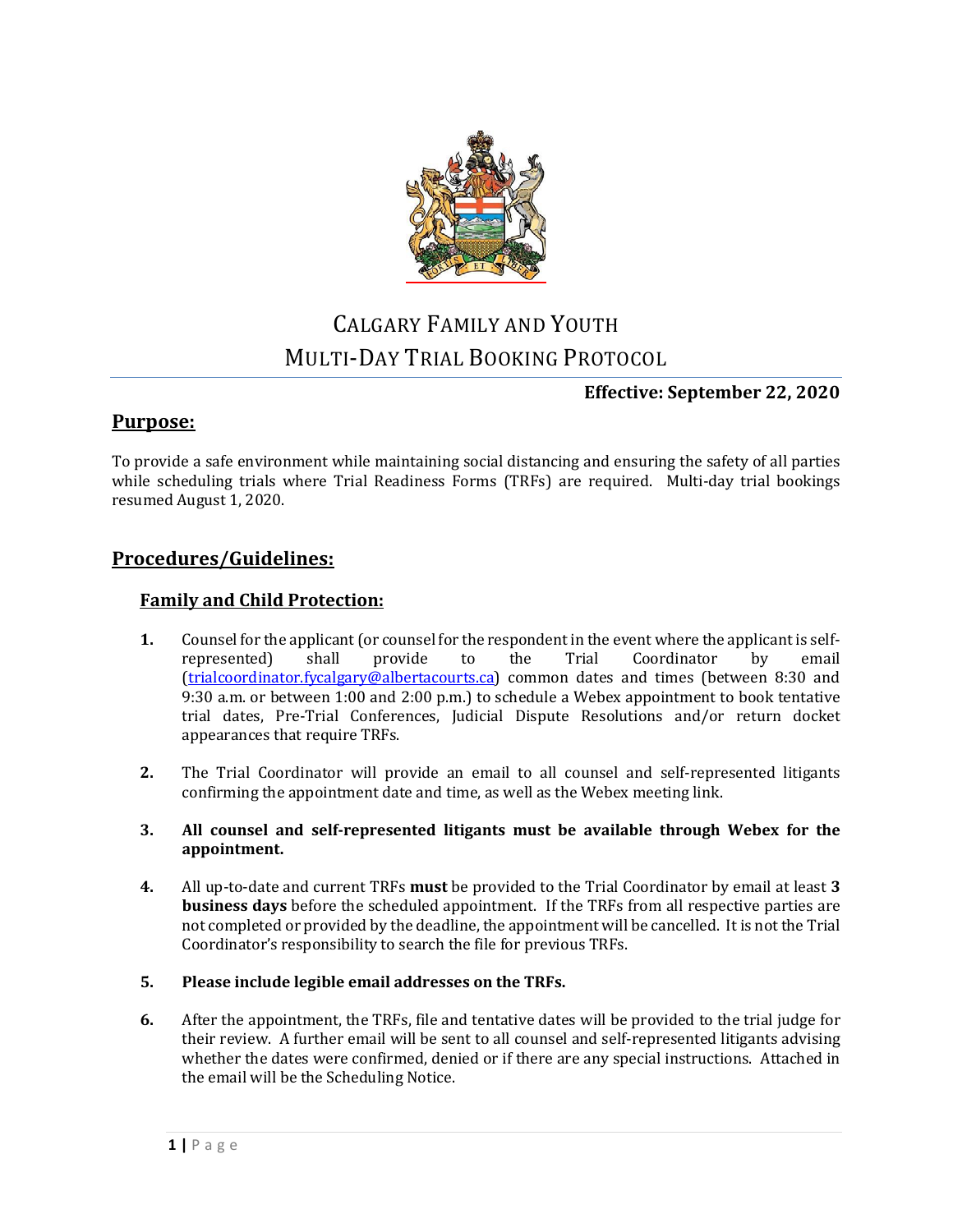

# CALGARY FAMILY AND YOUTH MULTI-DAY TRIAL BOOKING PROTOCOL

#### **Effective: September 22, 2020**

### **Purpose:**

To provide a safe environment while maintaining social distancing and ensuring the safety of all parties while scheduling trials where Trial Readiness Forms (TRFs) are required. Multi-day trial bookings resumed August 1, 2020.

### **Procedures/Guidelines:**

#### **Family and Child Protection:**

- **1.** Counsel for the applicant (or counsel for the respondent in the event where the applicant is self-<br>represented) shall provide to the Trial Coordinator by email represented) shall provide to the Trial Coordinator by email [\(trialcoordinator.fycalgary@albertacourts.ca\)](mailto:trialcoordinator.fycalgary@albertacourts.ca) common dates and times (between 8:30 and 9:30 a.m. or between 1:00 and 2:00 p.m.) to schedule a Webex appointment to book tentative trial dates, Pre-Trial Conferences, Judicial Dispute Resolutions and/or return docket appearances that require TRFs.
- **2.** The Trial Coordinator will provide an email to all counsel and self-represented litigants confirming the appointment date and time, as well as the Webex meeting link.
- **3. All counsel and self-represented litigants must be available through Webex for the appointment.**
- **4.** All up-to-date and current TRFs **must** be provided to the Trial Coordinator by email at least **3 business days** before the scheduled appointment. If the TRFs from all respective parties are not completed or provided by the deadline, the appointment will be cancelled. It is not the Trial Coordinator's responsibility to search the file for previous TRFs.
- **5. Please include legible email addresses on the TRFs.**
- **6.** After the appointment, the TRFs, file and tentative dates will be provided to the trial judge for their review. A further email will be sent to all counsel and self-represented litigants advising whether the dates were confirmed, denied or if there are any special instructions. Attached in the email will be the Scheduling Notice.